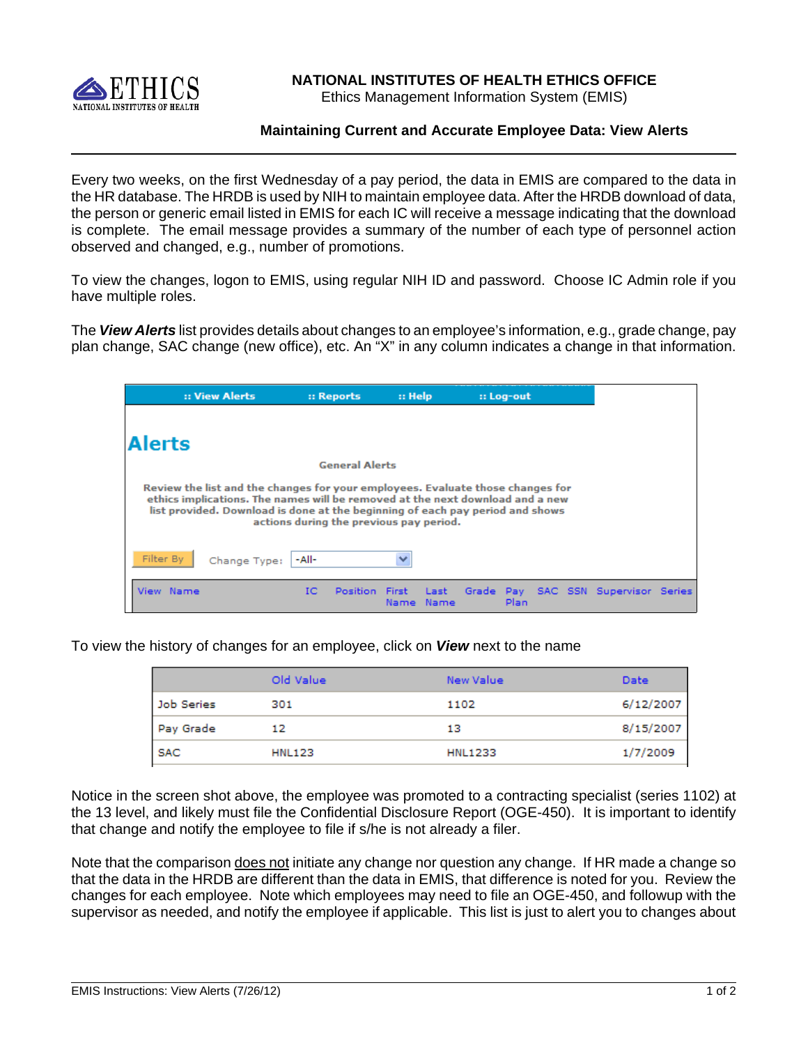

## **NATIONAL INSTITUTES OF HEALTH ETHICS OFFICE**

Ethics Management Information System (EMIS)

## **Maintaining Current and Accurate Employee Data: View Alerts**

 Every two weeks, on the first Wednesday of a pay period, the data in EMIS are compared to the data in the HR database. The HRDB is used by NIH to maintain employee data. After the HRDB download of data, the person or generic email listed in EMIS for each IC will receive a message indicating that the download is complete. The email message provides a summary of the number of each type of personnel action observed and changed, e.g., number of promotions.

To view the changes, logon to EMIS, using regular NIH ID and password. Choose IC Admin role if you have multiple roles.

The *View Alerts* list provides details about changes to an employee's information, e.g., grade change, pay plan change, SAC change (new office), etc. An "X" in any column indicates a change in that information.

|               | :: View Alerts                                                                                                                                                                                                                                   |    | :: Reports                              |              | $::$ Help     |  | :: Log-out |  |                                     |  |
|---------------|--------------------------------------------------------------------------------------------------------------------------------------------------------------------------------------------------------------------------------------------------|----|-----------------------------------------|--------------|---------------|--|------------|--|-------------------------------------|--|
|               |                                                                                                                                                                                                                                                  |    |                                         |              |               |  |            |  |                                     |  |
| <b>Alerts</b> |                                                                                                                                                                                                                                                  |    |                                         |              |               |  |            |  |                                     |  |
|               |                                                                                                                                                                                                                                                  |    | <b>General Alerts</b>                   |              |               |  |            |  |                                     |  |
|               | Review the list and the changes for your employees. Evaluate those changes for<br>ethics implications. The names will be removed at the next download and a new<br>list provided. Download is done at the beginning of each pay period and shows |    | actions during the previous pay period. |              |               |  |            |  |                                     |  |
| Filter By     | Change Type:  -All-                                                                                                                                                                                                                              |    |                                         | $\checkmark$ |               |  |            |  |                                     |  |
| View Name     |                                                                                                                                                                                                                                                  | IС | Position First                          | Name.        | -Last<br>Name |  | Plan       |  | Grade Pay SAC SSN Supervisor Series |  |

To view the history of changes for an employee, click on *View* next to the name

|            | Old Value     | New Value      | <b>Date</b> |
|------------|---------------|----------------|-------------|
| Job Series | 301           | 1102           | 6/12/2007   |
| Pay Grade  | 12            | 13             | 8/15/2007   |
| <b>SAC</b> | <b>HNL123</b> | <b>HNL1233</b> | 1/7/2009    |

Notice in the screen shot above, the employee was promoted to a contracting specialist (series 1102) at the 13 level, and likely must file the Confidential Disclosure Report (OGE-450). It is important to identify that change and notify the employee to file if s/he is not already a filer.

Note that the comparison does not initiate any change nor question any change. If HR made a change so that the data in the HRDB are different than the data in EMIS, that difference is noted for you. Review the changes for each employee. Note which employees may need to file an OGE-450, and followup with the supervisor as needed, and notify the employee if applicable. This list is just to alert you to changes about